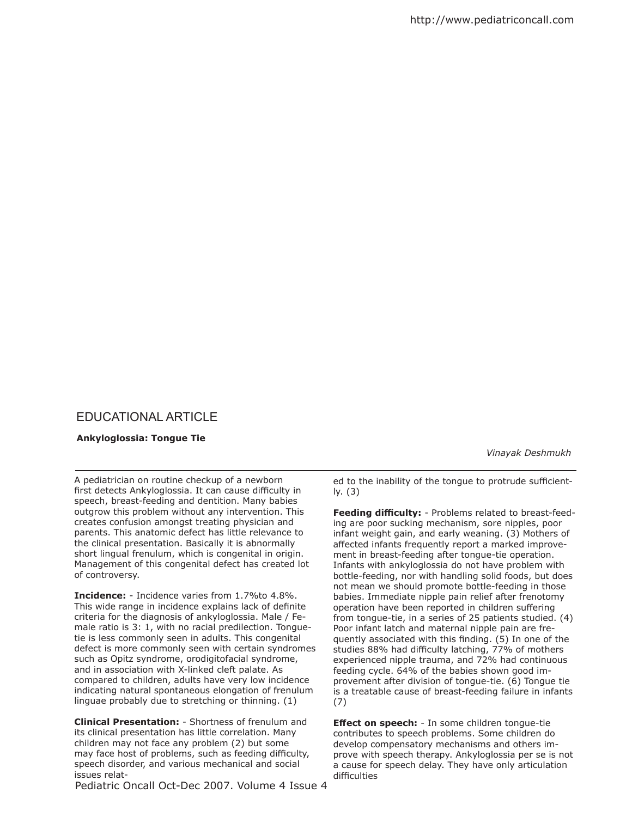## EDUCATIONAL ARTICLE

## **Ankyloglossia: Tongue Tie**

 *Vinayak Deshmukh*

A pediatrician on routine checkup of a newborn first detects Ankyloglossia. It can cause difficulty in speech, breast-feeding and dentition. Many babies outgrow this problem without any intervention. This creates confusion amongst treating physician and parents. This anatomic defect has little relevance to the clinical presentation. Basically it is abnormally short lingual frenulum, which is congenital in origin. Management of this congenital defect has created lot of controversy.

**Incidence:** - Incidence varies from 1.7%to 4.8%. This wide range in incidence explains lack of definite criteria for the diagnosis of ankyloglossia. Male / Female ratio is 3: 1, with no racial predilection. Tonguetie is less commonly seen in adults. This congenital defect is more commonly seen with certain syndromes such as Opitz syndrome, orodigitofacial syndrome, and in association with X-linked cleft palate. As compared to children, adults have very low incidence indicating natural spontaneous elongation of frenulum linguae probably due to stretching or thinning. (1)

**Clinical Presentation:** - Shortness of frenulum and its clinical presentation has little correlation. Many children may not face any problem (2) but some may face host of problems, such as feeding difficulty, speech disorder, and various mechanical and social issues relat-

Pediatric Oncall Oct-Dec 2007. Volume 4 Issue 4

ed to the inability of the tongue to protrude sufficiently. (3)

**Feeding difficulty:** - Problems related to breast-feeding are poor sucking mechanism, sore nipples, poor infant weight gain, and early weaning. (3) Mothers of afected infants frequently report a marked improvement in breast-feeding after tongue-tie operation. Infants with ankyloglossia do not have problem with bottle-feeding, nor with handling solid foods, but does not mean we should promote bottle-feeding in those babies. Immediate nipple pain relief after frenotomy operation have been reported in children suffering from tongue-tie, in a series of 25 patients studied. (4) Poor infant latch and maternal nipple pain are frequently associated with this finding. (5) In one of the studies 88% had difficulty latching, 77% of mothers experienced nipple trauma, and 72% had continuous feeding cycle. 64% of the babies shown good improvement after division of tongue-tie. (6) Tongue tie is a treatable cause of breast-feeding failure in infants (7)

**Effect on speech:** - In some children tongue-tie contributes to speech problems. Some children do develop compensatory mechanisms and others improve with speech therapy. Ankyloglossia per se is not a cause for speech delay. They have only articulation difficulties